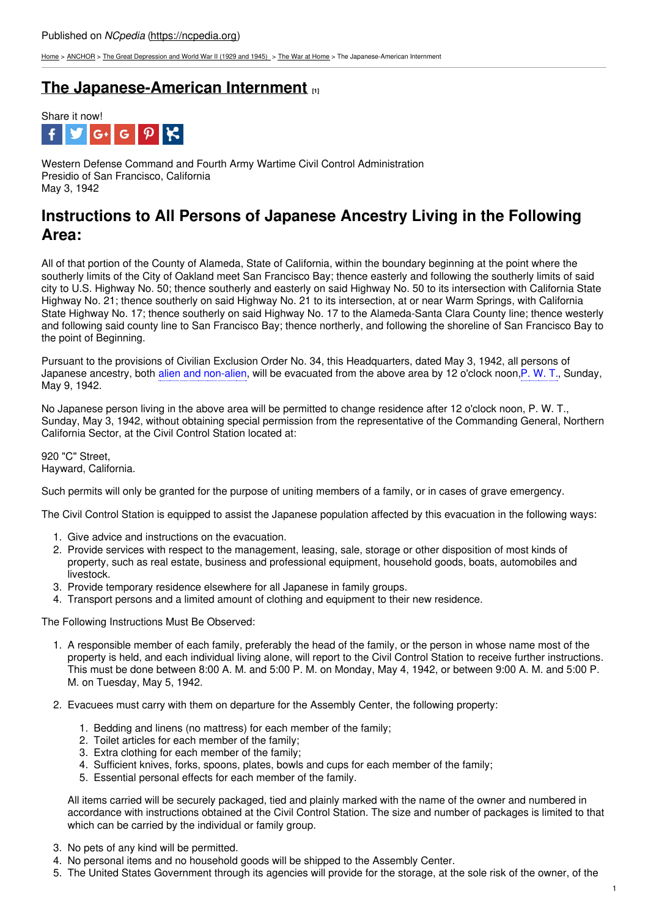[Home](https://ncpedia.org/) > [ANCHOR](https://ncpedia.org/anchor/anchor) > The Great [Depression](https://ncpedia.org/anchor/great-depression-and-world) and World War II (1929 and 1945) > The War at [Home](https://ncpedia.org/anchor/war-home) > The Japanese-American Internment

# **The [Japanese-American](https://ncpedia.org/anchor/japanese-american-internment) Internment [1]**



Western Defense Command and Fourth Army Wartime Civil Control Administration Presidio of San Francisco, California May 3, 1942

# **Instructions to All Persons of Japanese Ancestry Living in the Following Area:**

All of that portion of the County of Alameda, State of California, within the boundary beginning at the point where the southerly limits of the City of Oakland meet San Francisco Bay; thence easterly and following the southerly limits of said city to U.S. Highway No. 50; thence [southerly](http://www.social9.com) and easterly on said Highway No. 50 to its intersection with California State Highway No. 21; thence southerly on said Highway No. 21 to its intersection, at or near Warm Springs, with California State Highway No. 17; thence southerly on said Highway No. 17 to the Alameda-Santa Clara County line; thence westerly and following said county line to San Francisco Bay; thence northerly, and following the shoreline of San Francisco Bay to the point of Beginning.

Pursuant to the provisions of Civilian Exclusion Order No. 34, this Headquarters, dated May 3, 1942, all persons of Japanese ancestry, both alien and non-alien, will be evacuated from the above area by 12 o'clock noon,P. W. T., Sunday, May 9, 1942.

No Japanese person living in the above area will be permitted to change residence after 12 o'clock noon, P. W. T., Sunday, May 3, 1942, without obtaining special permission from the representative of the Commanding General, Northern California Sector, at the Civil Control Station located at:

920 "C" Street, Hayward, California.

Such permits will only be granted for the purpose of uniting members of a family, or in cases of grave emergency.

The Civil Control Station is equipped to assist the Japanese population affected by this evacuation in the following ways:

- 1. Give advice and instructions on the evacuation.
- 2. Provide services with respect to the management, leasing, sale, storage or other disposition of most kinds of property, such as real estate, business and professional equipment, household goods, boats, automobiles and livestock.
- 3. Provide temporary residence elsewhere for all Japanese in family groups.
- 4. Transport persons and a limited amount of clothing and equipment to their new residence.

The Following Instructions Must Be Observed:

- 1. A responsible member of each family, preferably the head of the family, or the person in whose name most of the property is held, and each individual living alone, will report to the Civil Control Station to receive further instructions. This must be done between 8:00 A. M. and 5:00 P. M. on Monday, May 4, 1942, or between 9:00 A. M. and 5:00 P. M. on Tuesday, May 5, 1942.
- 2. Evacuees must carry with them on departure for the Assembly Center, the following property:
	- 1. Bedding and linens (no mattress) for each member of the family;
	- 2. Toilet articles for each member of the family;
	- 3. Extra clothing for each member of the family;
	- 4. Sufficient knives, forks, spoons, plates, bowls and cups for each member of the family;
	- 5. Essential personal effects for each member of the family.

All items carried will be securely packaged, tied and plainly marked with the name of the owner and numbered in accordance with instructions obtained at the Civil Control Station. The size and number of packages is limited to that which can be carried by the individual or family group.

- 3. No pets of any kind will be permitted.
- 4. No personal items and no household goods will be shipped to the Assembly Center.
- 5. The United States Government through its agencies will provide for the storage, at the sole risk of the owner, of the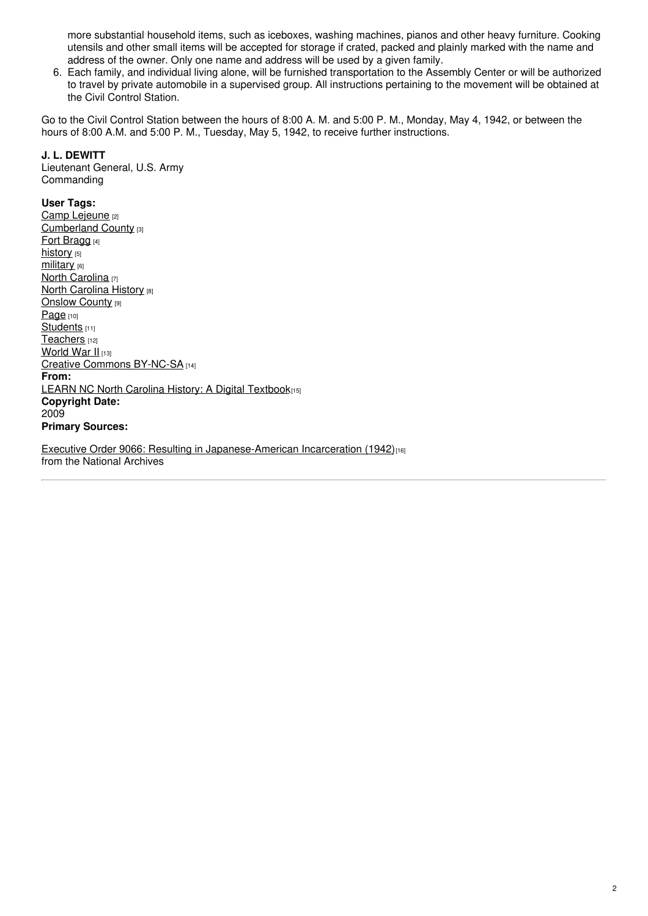more substantial household items, such as iceboxes, washing machines, pianos and other heavy furniture. Cooking utensils and other small items will be accepted for storage if crated, packed and plainly marked with the name and address of the owner. Only one name and address will be used by a given family.

6. Each family, and individual living alone, will be furnished transportation to the Assembly Center or will be authorized to travel by private automobile in a supervised group. All instructions pertaining to the movement will be obtained at the Civil Control Station.

Go to the Civil Control Station between the hours of 8:00 A. M. and 5:00 P. M., Monday, May 4, 1942, or between the hours of 8:00 A.M. and 5:00 P. M., Tuesday, May 5, 1942, to receive further instructions.

### **J. L. DEWITT**

Lieutenant General, U.S. Army **Commanding** 

### **User Tags:**

Camp [Lejeune](https://ncpedia.org/category/user-tags/camp-lejeune) [2] [Cumberland](https://ncpedia.org/category/user-tags/cumberland) County [3] Fort [Bragg](https://ncpedia.org/category/user-tags/fort-bragg) [4] [history](https://ncpedia.org/category/user-tags/history) [5] [military](https://ncpedia.org/category/user-tags/military) [6] North [Carolina](https://ncpedia.org/category/user-tags/north-carolina-5) [7] **North [Carolina](https://ncpedia.org/category/user-tags/north-carolina-6) History [8] [Onslow](https://ncpedia.org/category/user-tags/onslow-county) County [9]** [Page](https://ncpedia.org/category/user-tags/page) [10] [Students](https://ncpedia.org/category/user-tags/students) [11] [Teachers](https://ncpedia.org/category/user-tags/teachers) [12] [World](https://ncpedia.org/category/user-tags/world-war-ii) War II [13] Creative Commons [BY-NC-SA](https://ncpedia.org/category/user-tags/creative-commons) [14] **From:** LEARN NC North Carolina History: A Digital [Textbook](https://ncpedia.org/category/entry-source/learn-nc)[15] **Copyright Date:** 2009 **Primary Sources:**

Executive Order 9066: Resulting in [Japanese-American](https://www.archives.gov/milestone-documents/executive-order-9066) Incarceration (1942)<sub>[16]</sub> from the National Archives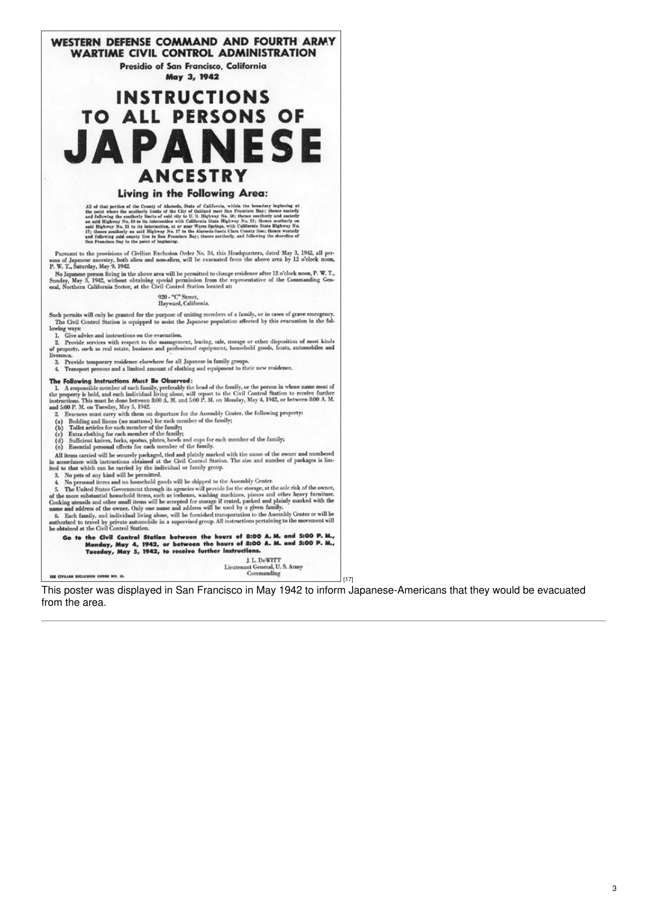WESTERN DEFENSE COMMAND AND FOURTH ARMY **WARTIME CIVIL CONTROL ADMINISTRATION** Presidio of San Francisco, California May 3, 1942 **INSTRUCTIONS TO ALL PERSONS OF JAPANESE ANCESTRY** Living in the Following Area: All of that portion of the County of Alameda, State of California, within the boundary heginning at the point where the scotler-ly limits of the City of Oaldand meet San Prancisco Bay: the<br>nee easierly in and following th Pursuant to the provisions of Civilian Exchision Order No. 34, this Headquarters, dated May 3, 1942, all persons of Japanese ancestry, both alien and non-alien, will be evacuated from the above area by 12 o'clock noon, P. P. W. T., Saturday, May 9, 1942.<br>Now I also be permitted to change residence after 12 o'clock noon, P. W. T.,<br>Sunday, May 3, 1942, without obtaining special permission from the representative of the Commanding General, Nor 920 - "C" Street,<br>Hayward, California. Such permits will only be granted for the purpose of uniting members of a family, or in cases of grave emergency. The Civil Control Station is equipped to assist the Japanese population affected by this evacuation in the f The Civil Control Station is equipped to assist the Japanese population affected by this exacuation in the following ways:<br>
1. Give advice and instructions on the evacuation.<br>
2. Provide services with respect to the manage ivestoon.<br>3. Provide temporary residence elsewhere for all Japanese in family groups.<br>4. Transport persons and a limited amount of elothing and equipment to their new residence. **Transport presons and a minded unional of elociting and equipment to that the Modern and a<br>
1. A responsible member of each family, preferably the head of the family, or the person in whose name most of<br>
the property is h** (e) ESSERIMI personal encode for each members of the same of the owner and numbered<br>in accordance with instructions obtained at the Civil Control Station. The size and number of packages is limited to that which can be car ited to that which can be carried by the individual or family group.<br>
3. No personal items and no bousehold goods will be shipped to the Assembly Center.<br>
4. No personal items and no bousehold goods will be shipped to the

Go to the Civil Control Station between the hours of 8:00 A.M. and 5:00 P.M.,<br>Monday, May 4, 1942, or between the hours of 8:00 A.M. and 5:00 P.M.,<br>Tuesday, May 5, 1942, to receive further instructions.

L.L. DeWITT Lieutenant General, U.S. Army<br>Commanding

SEE CIVILIAN EXCLUSION ORDER NO. 24.

This poster was displayed in San Francisco in May 1942 to inform Japanese-Americans that they would be evacuated from the area.

 $\frac{1}{17}$